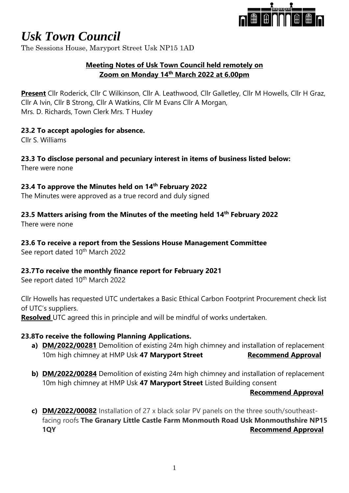

The Sessions House, Maryport Street Usk NP15 1AD

## **Meeting Notes of Usk Town Council held remotely on Zoom on Monday 14th March 2022 at 6.00pm**

**Present** Cllr Roderick, Cllr C Wilkinson, Cllr A. Leathwood, Cllr Galletley, Cllr M Howells, Cllr H Graz, Cllr A Ivin, Cllr B Strong, Cllr A Watkins, Cllr M Evans Cllr A Morgan, Mrs. D. Richards, Town Clerk Mrs. T Huxley

## **23.2 To accept apologies for absence.**

Cllr S. Williams

# **23.3 To disclose personal and pecuniary interest in items of business listed below:**

There were none

#### **23.4 To approve the Minutes held on 14th February 2022**

The Minutes were approved as a true record and duly signed

## **23.5 Matters arising from the Minutes of the meeting held 14th February 2022**

There were none

#### **23.6 To receive a report from the Sessions House Management Committee**

See report dated 10<sup>th</sup> March 2022

## **23.7To receive the monthly finance report for February 2021**

See report dated 10<sup>th</sup> March 2022

Cllr Howells has requested UTC undertakes a Basic Ethical Carbon Footprint Procurement check list of UTC's suppliers.

**Resolved** UTC agreed this in principle and will be mindful of works undertaken.

## **23.8To receive the following Planning Applications.**

- **a) DM/2022/00281** Demolition of existing 24m high chimney and installation of replacement 10m high chimney at HMP Usk 47 Maryport Street Recommend Approval
- **b) DM/2022/00284** Demolition of existing 24m high chimney and installation of replacement 10m high chimney at HMP Usk **47 Maryport Street** Listed Building consent

#### **Recommend Approval**

**c) DM/2022/00082** Installation of 27 x black solar PV panels on the three south/southeastfacing roofs **The Granary Little Castle Farm Monmouth Road Usk Monmouthshire NP15 1QY Recommend Approval**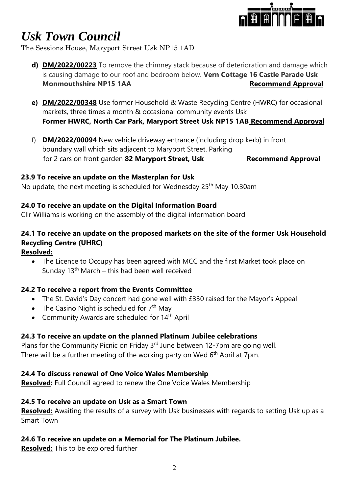

The Sessions House, Maryport Street Usk NP15 1AD

- **d) DM/2022/00223** To remove the chimney stack because of deterioration and damage which is causing damage to our roof and bedroom below. **Vern Cottage 16 Castle Parade Usk Monmouthshire NP15 1AA** Recommend Approval
- **e) DM/2022/00348** Use former Household & Waste Recycling Centre (HWRC) for occasional markets, three times a month & occasional community events Usk **Former HWRC, North Car Park, Maryport Street Usk NP15 1AB Recommend Approval**
- f) **DM/2022/00094** New vehicle driveway entrance (including drop kerb) in front boundary wall which sits adjacent to Maryport Street. Parking for 2 cars on front garden 82 Maryport Street, Usk Recommend Approval

#### **23.9 To receive an update on the Masterplan for Usk**

No update, the next meeting is scheduled for Wednesday 25<sup>th</sup> May 10.30am

# **24.0 To receive an update on the Digital Information Board**

Cllr Williams is working on the assembly of the digital information board

# **24.1 To receive an update on the proposed markets on the site of the former Usk Household Recycling Centre (UHRC)**

#### **Resolved:**

• The Licence to Occupy has been agreed with MCC and the first Market took place on Sunday  $13<sup>th</sup>$  March – this had been well received

## **24.2 To receive a report from the Events Committee**

- The St. David's Day concert had gone well with £330 raised for the Mayor's Appeal
- The Casino Night is scheduled for  $7<sup>th</sup>$  May
- Community Awards are scheduled for 14<sup>th</sup> April

## **24.3 To receive an update on the planned Platinum Jubilee celebrations**

Plans for the Community Picnic on Friday 3<sup>rd</sup> June between 12-7pm are going well. There will be a further meeting of the working party on Wed 6<sup>th</sup> April at 7pm.

#### **24.4 To discuss renewal of One Voice Wales Membership**

**Resolved:** Full Council agreed to renew the One Voice Wales Membership

#### **24.5 To receive an update on Usk as a Smart Town**

**Resolved:** Awaiting the results of a survey with Usk businesses with regards to setting Usk up as a Smart Town

## **24.6 To receive an update on a Memorial for The Platinum Jubilee.**

**Resolved:** This to be explored further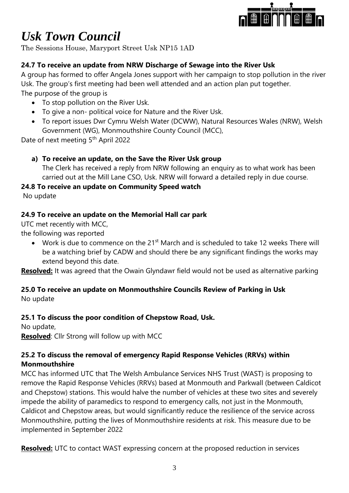

The Sessions House, Maryport Street Usk NP15 1AD

# **24.7 To receive an update from NRW Discharge of Sewage into the River Usk**

A group has formed to offer Angela Jones support with her campaign to stop pollution in the river Usk. The group's first meeting had been well attended and an action plan put together. The purpose of the group is

- To stop pollution on the River Usk.
- To give a non- political voice for Nature and the River Usk.
- To report issues Dwr Cymru Welsh Water (DCWW), Natural Resources Wales (NRW), Welsh Government (WG), Monmouthshire County Council (MCC),

Date of next meeting 5<sup>th</sup> April 2022

# **a) To receive an update, on the Save the River Usk group**

The Clerk has received a reply from NRW following an enquiry as to what work has been carried out at the Mill Lane CSO, Usk. NRW will forward a detailed reply in due course.

# **24.8 To receive an update on Community Speed watch**

No update

# **24.9 To receive an update on the Memorial Hall car park**

UTC met recently with MCC,

the following was reported

• Work is due to commence on the 21<sup>st</sup> March and is scheduled to take 12 weeks There will be a watching brief by CADW and should there be any significant findings the works may extend beyond this date.

**Resolved:** It was agreed that the Owain Glyndawr field would not be used as alternative parking

# **25.0 To receive an update on Monmouthshire Councils Review of Parking in Usk**

No update

# **25.1 To discuss the poor condition of Chepstow Road, Usk.**

No update, **Resolved**: Cllr Strong will follow up with MCC

# **25.2 To discuss the removal of emergency Rapid Response Vehicles (RRVs) within Monmouthshire**

MCC has informed UTC that The Welsh Ambulance Services NHS Trust (WAST) is proposing to remove the Rapid Response Vehicles (RRVs) based at Monmouth and Parkwall (between Caldicot and Chepstow) stations. This would halve the number of vehicles at these two sites and severely impede the ability of paramedics to respond to emergency calls, not just in the Monmouth, Caldicot and Chepstow areas, but would significantly reduce the resilience of the service across Monmouthshire, putting the lives of Monmouthshire residents at risk. This measure due to be implemented in September 2022

**Resolved:** UTC to contact WAST expressing concern at the proposed reduction in services